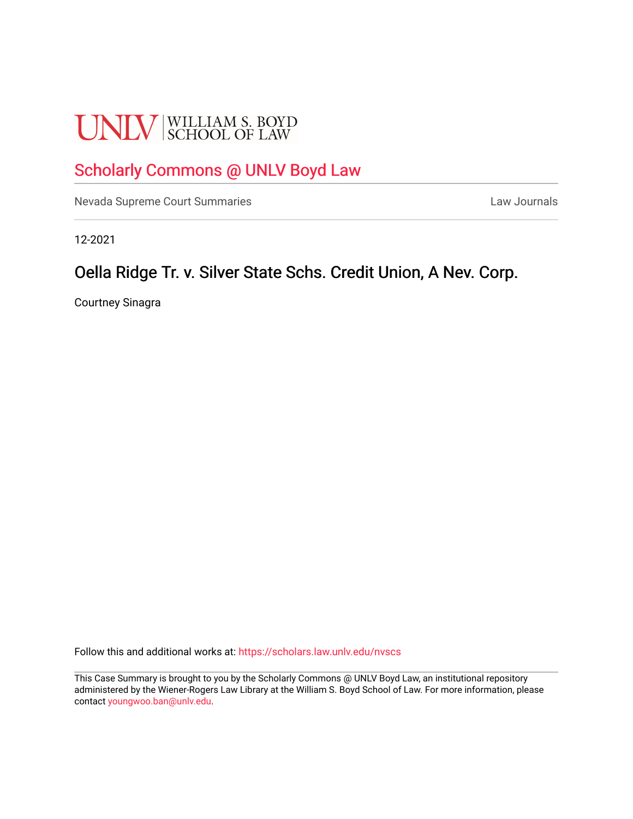# **UNLV** SCHOOL OF LAW

## [Scholarly Commons @ UNLV Boyd Law](https://scholars.law.unlv.edu/)

[Nevada Supreme Court Summaries](https://scholars.law.unlv.edu/nvscs) **Law Journals** Law Journals

12-2021

### Oella Ridge Tr. v. Silver State Schs. Credit Union, A Nev. Corp.

Courtney Sinagra

Follow this and additional works at: [https://scholars.law.unlv.edu/nvscs](https://scholars.law.unlv.edu/nvscs?utm_source=scholars.law.unlv.edu%2Fnvscs%2F1474&utm_medium=PDF&utm_campaign=PDFCoverPages)

This Case Summary is brought to you by the Scholarly Commons @ UNLV Boyd Law, an institutional repository administered by the Wiener-Rogers Law Library at the William S. Boyd School of Law. For more information, please contact [youngwoo.ban@unlv.edu](mailto:youngwoo.ban@unlv.edu).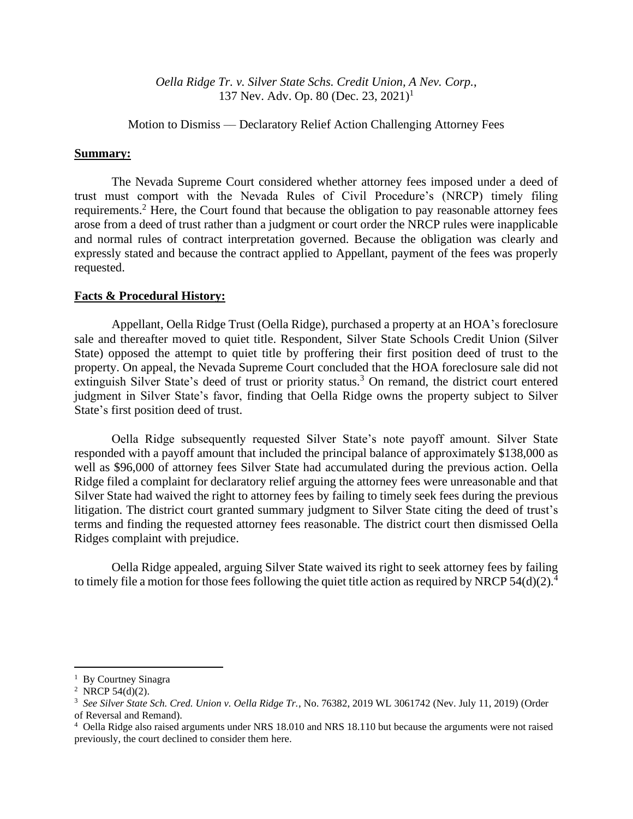*Oella Ridge Tr. v. Silver State Schs. Credit Union, A Nev. Corp.*, 137 Nev. Adv. Op. 80 (Dec. 23, 2021)<sup>1</sup>

Motion to Dismiss –– Declaratory Relief Action Challenging Attorney Fees

#### **Summary:**

The Nevada Supreme Court considered whether attorney fees imposed under a deed of trust must comport with the Nevada Rules of Civil Procedure's (NRCP) timely filing requirements.<sup>2</sup> Here, the Court found that because the obligation to pay reasonable attorney fees arose from a deed of trust rather than a judgment or court order the NRCP rules were inapplicable and normal rules of contract interpretation governed. Because the obligation was clearly and expressly stated and because the contract applied to Appellant, payment of the fees was properly requested.

#### **Facts & Procedural History:**

Appellant, Oella Ridge Trust (Oella Ridge), purchased a property at an HOA's foreclosure sale and thereafter moved to quiet title. Respondent, Silver State Schools Credit Union (Silver State) opposed the attempt to quiet title by proffering their first position deed of trust to the property. On appeal, the Nevada Supreme Court concluded that the HOA foreclosure sale did not extinguish Silver State's deed of trust or priority status.<sup>3</sup> On remand, the district court entered judgment in Silver State's favor, finding that Oella Ridge owns the property subject to Silver State's first position deed of trust.

Oella Ridge subsequently requested Silver State's note payoff amount. Silver State responded with a payoff amount that included the principal balance of approximately \$138,000 as well as \$96,000 of attorney fees Silver State had accumulated during the previous action. Oella Ridge filed a complaint for declaratory relief arguing the attorney fees were unreasonable and that Silver State had waived the right to attorney fees by failing to timely seek fees during the previous litigation. The district court granted summary judgment to Silver State citing the deed of trust's terms and finding the requested attorney fees reasonable. The district court then dismissed Oella Ridges complaint with prejudice.

Oella Ridge appealed, arguing Silver State waived its right to seek attorney fees by failing to timely file a motion for those fees following the quiet title action as required by NRCP  $54(d)(2)$ .<sup>4</sup>

<sup>&</sup>lt;sup>1</sup> By Courtney Sinagra

<sup>&</sup>lt;sup>2</sup> NRCP 54(d)(2).

<sup>3</sup> *See Silver State Sch. Cred. Union v. Oella Ridge Tr.*, No. 76382, 2019 WL 3061742 (Nev. July 11, 2019) (Order of Reversal and Remand).

<sup>&</sup>lt;sup>4</sup> Oella Ridge also raised arguments under NRS 18.010 and NRS 18.110 but because the arguments were not raised previously, the court declined to consider them here.